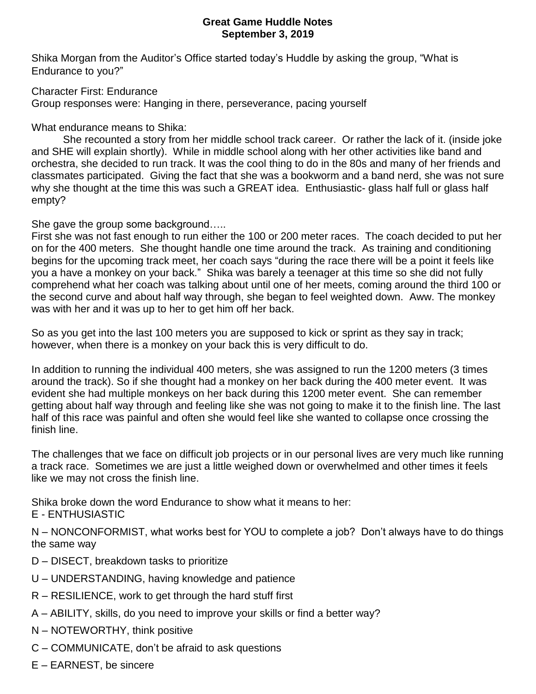## **Great Game Huddle Notes September 3, 2019**

Shika Morgan from the Auditor's Office started today's Huddle by asking the group, "What is Endurance to you?"

Character First: Endurance

Group responses were: Hanging in there, perseverance, pacing yourself

What endurance means to Shika:

She recounted a story from her middle school track career. Or rather the lack of it. (inside joke and SHE will explain shortly). While in middle school along with her other activities like band and orchestra, she decided to run track. It was the cool thing to do in the 80s and many of her friends and classmates participated. Giving the fact that she was a bookworm and a band nerd, she was not sure why she thought at the time this was such a GREAT idea. Enthusiastic- glass half full or glass half empty?

She gave the group some background…..

First she was not fast enough to run either the 100 or 200 meter races. The coach decided to put her on for the 400 meters. She thought handle one time around the track. As training and conditioning begins for the upcoming track meet, her coach says "during the race there will be a point it feels like you a have a monkey on your back." Shika was barely a teenager at this time so she did not fully comprehend what her coach was talking about until one of her meets, coming around the third 100 or the second curve and about half way through, she began to feel weighted down. Aww. The monkey was with her and it was up to her to get him off her back.

So as you get into the last 100 meters you are supposed to kick or sprint as they say in track; however, when there is a monkey on your back this is very difficult to do.

In addition to running the individual 400 meters, she was assigned to run the 1200 meters (3 times around the track). So if she thought had a monkey on her back during the 400 meter event. It was evident she had multiple monkeys on her back during this 1200 meter event. She can remember getting about half way through and feeling like she was not going to make it to the finish line. The last half of this race was painful and often she would feel like she wanted to collapse once crossing the finish line.

The challenges that we face on difficult job projects or in our personal lives are very much like running a track race. Sometimes we are just a little weighed down or overwhelmed and other times it feels like we may not cross the finish line.

Shika broke down the word Endurance to show what it means to her:

E - ENTHUSIASTIC

N – NONCONFORMIST, what works best for YOU to complete a job? Don't always have to do things the same way

- D DISECT, breakdown tasks to prioritize
- U UNDERSTANDING, having knowledge and patience
- R RESILIENCE, work to get through the hard stuff first
- A ABILITY, skills, do you need to improve your skills or find a better way?
- N NOTEWORTHY, think positive
- C COMMUNICATE, don't be afraid to ask questions
- E EARNEST, be sincere